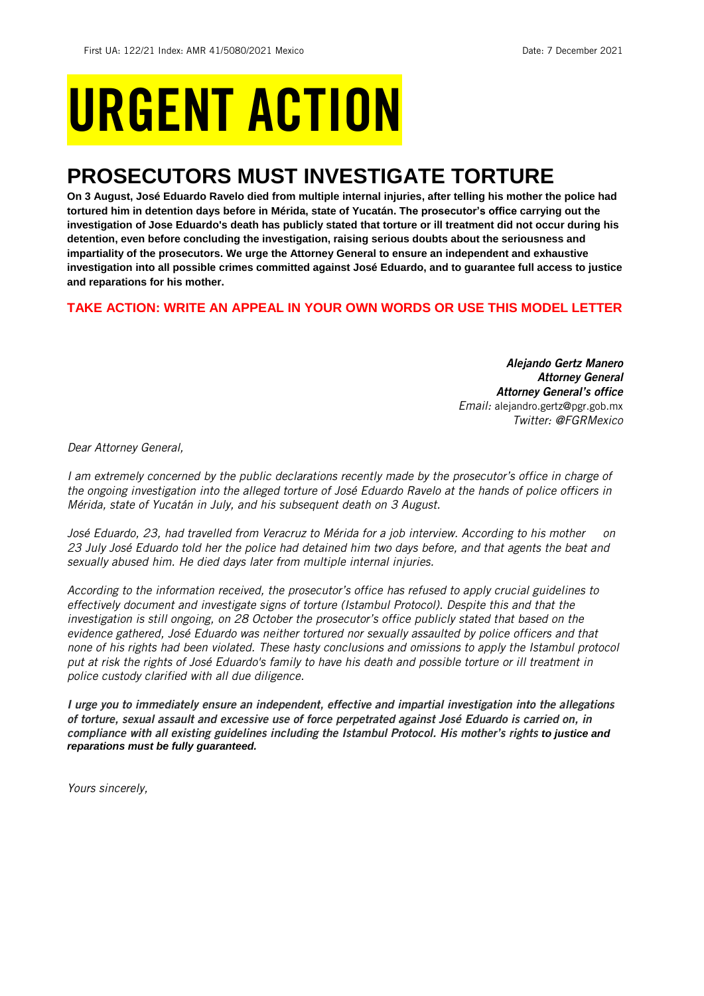# URGENT ACTION

## **PROSECUTORS MUST INVESTIGATE TORTURE**

**On 3 August, José Eduardo Ravelo died from multiple internal injuries, after telling his mother the police had tortured him in detention days before in Mérida, state of Yucatán. The prosecutor's office carrying out the investigation of Jose Eduardo's death has publicly stated that torture or ill treatment did not occur during his detention, even before concluding the investigation, raising serious doubts about the seriousness and impartiality of the prosecutors. We urge the Attorney General to ensure an independent and exhaustive investigation into all possible crimes committed against José Eduardo, and to guarantee full access to justice and reparations for his mother.**

## **TAKE ACTION: WRITE AN APPEAL IN YOUR OWN WORDS OR USE THIS MODEL LETTER**

*Alejando Gertz Manero Attorney General Attorney General's office Email:* alejandro.gertz@pgr.gob.mx *Twitter: @FGRMexico*

*Dear Attorney General,*

*I am extremely concerned by the public declarations recently made by the prosecutor's office in charge of the ongoing investigation into the alleged torture of José Eduardo Ravelo at the hands of police officers in Mérida, state of Yucatán in July, and his subsequent death on 3 August.*

*José Eduardo, 23, had travelled from Veracruz to Mérida for a job interview. According to his mother on 23 July José Eduardo told her the police had detained him two days before, and that agents the beat and sexually abused him. He died days later from multiple internal injuries.* 

*According to the information received, the prosecutor's office has refused to apply crucial guidelines to effectively document and investigate signs of torture (Istambul Protocol). Despite this and that the investigation is still ongoing, on 28 October the prosecutor's office publicly stated that based on the evidence gathered, José Eduardo was neither tortured nor sexually assaulted by police officers and that none of his rights had been violated. These hasty conclusions and omissions to apply the Istambul protocol put at risk the rights of José Eduardo's family to have his death and possible torture or ill treatment in police custody clarified with all due diligence.*

*I urge you to immediately ensure an independent, effective and impartial investigation into the allegations of torture, sexual assault and excessive use of force perpetrated against José Eduardo is carried on, in compliance with all existing guidelines including the Istambul Protocol. His mother's rights to justice and reparations must be fully guaranteed.*

*Yours sincerely,*